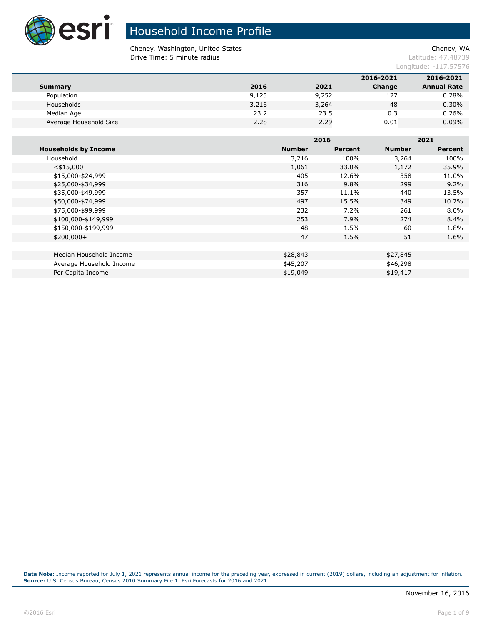

# Household Income Profile

Cheney, Washington, United States Cheney, WA **Drive Time: 5 minute radius Contract Contract Contract Contract Contract Contract Contract Contract Contract Contract Contract Contract Contract Contract Contract Contract Contract Contract Contract Contract Contract Co** 

Longitude: -117.57576

|                        |       |       | 2016-2021 | 2016-2021          |
|------------------------|-------|-------|-----------|--------------------|
| <b>Summary</b>         | 2016  | 2021  | Change    | <b>Annual Rate</b> |
| Population             | 9,125 | 9,252 | 127       | 0.28%              |
| Households             | 3,216 | 3,264 | 48        | 0.30%              |
| Median Age             | 23.2  | 23.5  | 0.3       | 0.26%              |
| Average Household Size | 2.28  | 2.29  | 0.01      | 0.09%              |
|                        |       |       |           |                    |

|                             |               | 2016    |               | 2021    |  |  |
|-----------------------------|---------------|---------|---------------|---------|--|--|
| <b>Households by Income</b> | <b>Number</b> | Percent | <b>Number</b> | Percent |  |  |
| Household                   | 3,216         | 100%    | 3,264         | 100%    |  |  |
| $<$ \$15,000                | 1,061         | 33.0%   | 1,172         | 35.9%   |  |  |
| \$15,000-\$24,999           | 405           | 12.6%   | 358           | 11.0%   |  |  |
| \$25,000-\$34,999           | 316           | 9.8%    | 299           | 9.2%    |  |  |
| \$35,000-\$49,999           | 357           | 11.1%   | 440           | 13.5%   |  |  |
| \$50,000-\$74,999           | 497           | 15.5%   | 349           | 10.7%   |  |  |
| \$75,000-\$99,999           | 232           | $7.2\%$ | 261           | $8.0\%$ |  |  |
| \$100,000-\$149,999         | 253           | 7.9%    | 274           | 8.4%    |  |  |
| \$150,000-\$199,999         | 48            | 1.5%    | 60            | 1.8%    |  |  |
| $$200,000+$                 | 47            | 1.5%    | 51            | 1.6%    |  |  |
|                             |               |         |               |         |  |  |
| Median Household Income     | \$28,843      |         | \$27,845      |         |  |  |
| Average Household Income    | \$45,207      |         | \$46,298      |         |  |  |
| Per Capita Income           | \$19,049      |         | \$19,417      |         |  |  |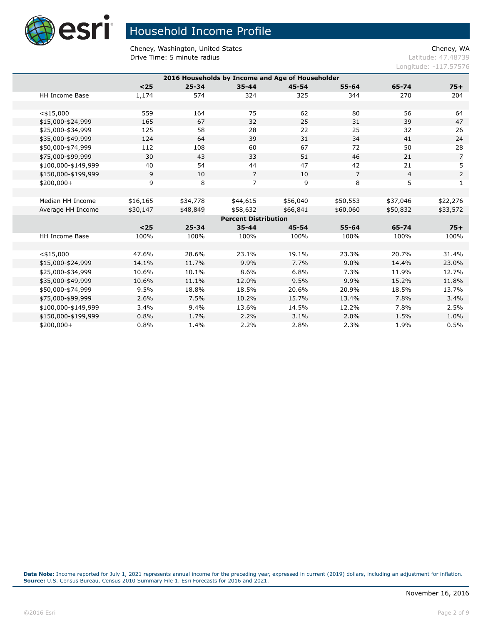

Cheney, Washington, United States Cheney, WA **Drive Time: 5 minute radius Contract Contract Contract Contract Contract Contract Contract Contract Contract Contract Contract Contract Contract Contract Contract Contract Contract Contract Contract Contract Contract Co** 

Longitude: -117.57576

| 2016 Households by Income and Age of Householder |                       |          |           |                             |           |                |                |                |  |
|--------------------------------------------------|-----------------------|----------|-----------|-----------------------------|-----------|----------------|----------------|----------------|--|
|                                                  |                       | $25$     | $25 - 34$ | $35 - 44$                   | $45 - 54$ | $55 - 64$      | 65-74          | $75+$          |  |
|                                                  | HH Income Base        | 1,174    | 574       | 324                         | 325       | 344            | 270            | 204            |  |
|                                                  |                       |          |           |                             |           |                |                |                |  |
|                                                  | $<$ \$15,000          | 559      | 164       | 75                          | 62        | 80             | 56             | 64             |  |
|                                                  | \$15,000-\$24,999     | 165      | 67        | 32                          | 25        | 31             | 39             | 47             |  |
|                                                  | \$25,000-\$34,999     | 125      | 58        | 28                          | 22        | 25             | 32             | 26             |  |
|                                                  | \$35,000-\$49,999     | 124      | 64        | 39                          | 31        | 34             | 41             | 24             |  |
|                                                  | \$50,000-\$74,999     | 112      | 108       | 60                          | 67        | 72             | 50             | 28             |  |
|                                                  | \$75,000-\$99,999     | 30       | 43        | 33                          | 51        | 46             | 21             | $\overline{7}$ |  |
|                                                  | \$100,000-\$149,999   | 40       | 54        | 44                          | 47        | 42             | 21             | 5              |  |
|                                                  | \$150,000-\$199,999   | 9        | 10        | $\overline{7}$              | 10        | $\overline{7}$ | $\overline{4}$ | $\overline{2}$ |  |
|                                                  | $$200,000+$           | 9        | 8         | $\overline{7}$              | 9         | 8              | 5              | 1              |  |
|                                                  |                       |          |           |                             |           |                |                |                |  |
|                                                  | Median HH Income      | \$16,165 | \$34,778  | \$44,615                    | \$56,040  | \$50,553       | \$37,046       | \$22,276       |  |
|                                                  | Average HH Income     | \$30,147 | \$48,849  | \$58,632                    | \$66,841  | \$60,060       | \$50,832       | \$33,572       |  |
|                                                  |                       |          |           | <b>Percent Distribution</b> |           |                |                |                |  |
|                                                  |                       | $25$     | $25 - 34$ | $35 - 44$                   | $45 - 54$ | $55 - 64$      | 65-74          | $75+$          |  |
|                                                  | <b>HH Income Base</b> | 100%     | 100%      | 100%                        | 100%      | 100%           | 100%           | 100%           |  |
|                                                  |                       |          |           |                             |           |                |                |                |  |
|                                                  | $<$ \$15,000          | 47.6%    | 28.6%     | 23.1%                       | 19.1%     | 23.3%          | 20.7%          | 31.4%          |  |
|                                                  | \$15,000-\$24,999     | 14.1%    | 11.7%     | 9.9%                        | 7.7%      | 9.0%           | 14.4%          | 23.0%          |  |
|                                                  | \$25,000-\$34,999     | 10.6%    | 10.1%     | 8.6%                        | 6.8%      | 7.3%           | 11.9%          | 12.7%          |  |
|                                                  | \$35,000-\$49,999     | 10.6%    | 11.1%     | 12.0%                       | 9.5%      | 9.9%           | 15.2%          | 11.8%          |  |
|                                                  | \$50,000-\$74,999     | 9.5%     | 18.8%     | 18.5%                       | 20.6%     | 20.9%          | 18.5%          | 13.7%          |  |
|                                                  | \$75,000-\$99,999     | 2.6%     | 7.5%      | 10.2%                       | 15.7%     | 13.4%          | 7.8%           | 3.4%           |  |
|                                                  | \$100,000-\$149,999   | 3.4%     | 9.4%      | 13.6%                       | 14.5%     | 12.2%          | 7.8%           | 2.5%           |  |
|                                                  | \$150,000-\$199,999   | 0.8%     | 1.7%      | 2.2%                        | 3.1%      | 2.0%           | 1.5%           | 1.0%           |  |
|                                                  | $$200,000+$           | 0.8%     | 1.4%      | 2.2%                        | 2.8%      | 2.3%           | 1.9%           | 0.5%           |  |
|                                                  |                       |          |           |                             |           |                |                |                |  |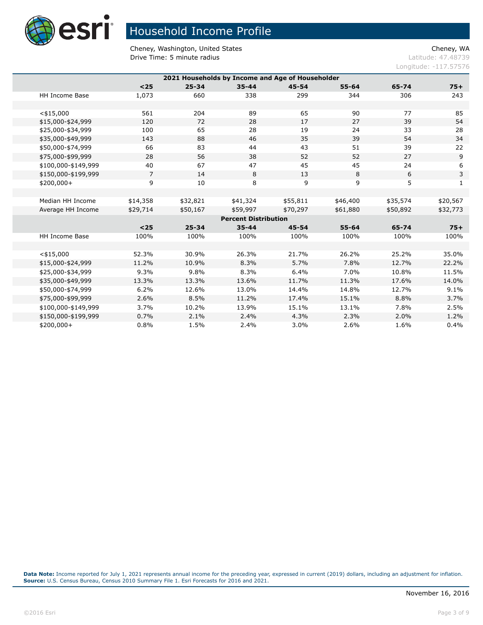

Cheney, Washington, United States Cheney, WA **Drive Time: 5 minute radius Contract Contract Contract Contract Contract Contract Contract Contract Contract Contract Contract Contract Contract Contract Contract Contract Contract Contract Contract Contract Contract Co** 

Longitude: -117.57576

|                |               |                  |                  |                                                 |                                                                      | $75+$          |  |  |
|----------------|---------------|------------------|------------------|-------------------------------------------------|----------------------------------------------------------------------|----------------|--|--|
|                |               |                  |                  |                                                 |                                                                      | 243            |  |  |
|                |               |                  |                  |                                                 |                                                                      |                |  |  |
| 561            | 204           | 89               | 65               | 90                                              | 77                                                                   | 85             |  |  |
| 120            | 72            | 28               | 17               | 27                                              | 39                                                                   | 54             |  |  |
| 100            | 65            | 28               | 19               | 24                                              | 33                                                                   | 28             |  |  |
| 143            | 88            | 46               | 35               | 39                                              | 54                                                                   | 34             |  |  |
| 66             | 83            | 44               | 43               | 51                                              | 39                                                                   | 22             |  |  |
| 28             | 56            | 38               | 52               | 52                                              | 27                                                                   | $\overline{9}$ |  |  |
| 40             | 67            | 47               | 45               | 45                                              | 24                                                                   | 6              |  |  |
| $\overline{7}$ | 14            | 8                | 13               | 8                                               | 6                                                                    | 3              |  |  |
| 9              | 10            | 8                | 9                | 9                                               | 5                                                                    | $\mathbf{1}$   |  |  |
|                |               |                  |                  |                                                 |                                                                      |                |  |  |
| \$14,358       | \$32,821      | \$41,324         | \$55,811         | \$46,400                                        | \$35,574                                                             | \$20,567       |  |  |
| \$29,714       | \$50,167      | \$59,997         | \$70,297         | \$61,880                                        | \$50,892                                                             | \$32,773       |  |  |
|                |               |                  |                  |                                                 |                                                                      |                |  |  |
| $<$ 25         | $25 - 34$     | $35 - 44$        | $45 - 54$        | $55 - 64$                                       | 65-74                                                                | $75+$          |  |  |
| 100%           | 100%          | 100%             | 100%             | 100%                                            | 100%                                                                 | 100%           |  |  |
|                |               |                  |                  |                                                 |                                                                      |                |  |  |
| 52.3%          | 30.9%         | 26.3%            | 21.7%            | 26.2%                                           | 25.2%                                                                | 35.0%          |  |  |
| 11.2%          | 10.9%         | 8.3%             | 5.7%             | 7.8%                                            | 12.7%                                                                | 22.2%          |  |  |
| 9.3%           | 9.8%          | 8.3%             | 6.4%             | 7.0%                                            | 10.8%                                                                | 11.5%          |  |  |
| 13.3%          | 13.3%         | 13.6%            | 11.7%            | 11.3%                                           | 17.6%                                                                | 14.0%          |  |  |
| 6.2%           | 12.6%         | 13.0%            | 14.4%            | 14.8%                                           | 12.7%                                                                | 9.1%           |  |  |
| 2.6%           | 8.5%          | 11.2%            | 17.4%            | 15.1%                                           | 8.8%                                                                 | 3.7%           |  |  |
| 3.7%           | 10.2%         | 13.9%            | 15.1%            | 13.1%                                           | 7.8%                                                                 | 2.5%           |  |  |
| 0.7%           | 2.1%          | 2.4%             | 4.3%             | 2.3%                                            | 2.0%                                                                 | 1.2%           |  |  |
| 0.8%           | 1.5%          | 2.4%             | 3.0%             | 2.6%                                            | 1.6%                                                                 | 0.4%           |  |  |
|                | $25$<br>1,073 | $25 - 34$<br>660 | $35 - 44$<br>338 | $45 - 54$<br>299<br><b>Percent Distribution</b> | 2021 Households by Income and Age of Householder<br>$55 - 64$<br>344 | 65-74<br>306   |  |  |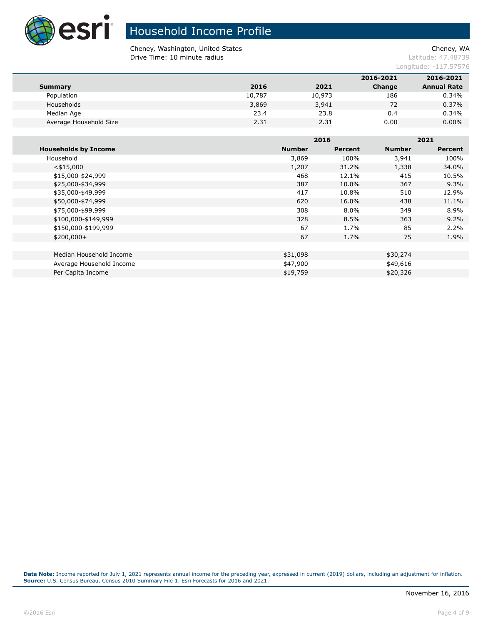

# Household Income Profile

Cheney, Washington, United States Cheney, WA **Drive Time: 10 minute radius Latitude: 47.48739** 

Longitude: -117.57576

|                        |        |        | 2016-2021 | 2016-2021          |
|------------------------|--------|--------|-----------|--------------------|
| Summary                | 2016   | 2021   | Change    | <b>Annual Rate</b> |
| Population             | 10,787 | 10,973 | 186       | 0.34%              |
| Households             | 3,869  | 3,941  | 72        | 0.37%              |
| Median Age             | 23.4   | 23.8   | 0.4       | 0.34%              |
| Average Household Size | 2.31   | 2.31   | 0.00      | $0.00\%$           |

|                             |               | 2016    |               | 2021           |  |
|-----------------------------|---------------|---------|---------------|----------------|--|
| <b>Households by Income</b> | <b>Number</b> | Percent | <b>Number</b> | <b>Percent</b> |  |
| Household                   | 3,869         | 100%    | 3,941         | 100%           |  |
| $<$ \$15,000                | 1,207         | 31.2%   | 1,338         | 34.0%          |  |
| \$15,000-\$24,999           | 468           | 12.1%   | 415           | 10.5%          |  |
| \$25,000-\$34,999           | 387           | 10.0%   | 367           | 9.3%           |  |
| \$35,000-\$49,999           | 417           | 10.8%   | 510           | 12.9%          |  |
| \$50,000-\$74,999           | 620           | 16.0%   | 438           | 11.1%          |  |
| \$75,000-\$99,999           | 308           | 8.0%    | 349           | 8.9%           |  |
| \$100,000-\$149,999         | 328           | 8.5%    | 363           | 9.2%           |  |
| \$150,000-\$199,999         | 67            | 1.7%    | 85            | 2.2%           |  |
| $$200,000+$                 | 67            | 1.7%    | 75            | 1.9%           |  |
|                             |               |         |               |                |  |
| Median Household Income     | \$31,098      |         | \$30,274      |                |  |
| Average Household Income    | \$47,900      |         | \$49,616      |                |  |
| Per Capita Income           | \$19,759      |         | \$20,326      |                |  |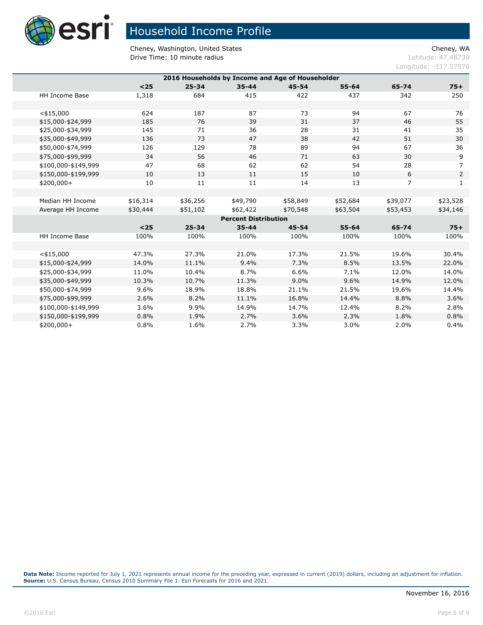

Cheney, Washington, United States Cheney, WA **Drive Time: 10 minute radius Latitude: 47.48739** 

Longitude: -117.57576

| 2016 Households by Income and Age of Householder |          |           |                             |           |           |                |                |  |  |
|--------------------------------------------------|----------|-----------|-----------------------------|-----------|-----------|----------------|----------------|--|--|
|                                                  | $25$     | $25 - 34$ | $35 - 44$                   | $45 - 54$ | $55 - 64$ | 65-74          | $75+$          |  |  |
| <b>HH Income Base</b>                            | 1,318    | 684       | 415                         | 422       | 437       | 342            | 250            |  |  |
|                                                  |          |           |                             |           |           |                |                |  |  |
| $<$ \$15,000                                     | 624      | 187       | 87                          | 73        | 94        | 67             | 76             |  |  |
| \$15,000-\$24,999                                | 185      | 76        | 39                          | 31        | 37        | 46             | 55             |  |  |
| \$25,000-\$34,999                                | 145      | 71        | 36                          | 28        | 31        | 41             | 35             |  |  |
| \$35,000-\$49,999                                | 136      | 73        | 47                          | 38        | 42        | 51             | 30             |  |  |
| \$50,000-\$74,999                                | 126      | 129       | 78                          | 89        | 94        | 67             | 36             |  |  |
| \$75,000-\$99,999                                | 34       | 56        | 46                          | 71        | 63        | 30             | $9$            |  |  |
| \$100,000-\$149,999                              | 47       | 68        | 62                          | 62        | 54        | 28             | $\overline{7}$ |  |  |
| \$150,000-\$199,999                              | 10       | 13        | 11                          | 15        | 10        | 6              | $\mathsf{2}$   |  |  |
| $$200,000+$                                      | 10       | 11        | 11                          | 14        | 13        | $\overline{7}$ | 1              |  |  |
|                                                  |          |           |                             |           |           |                |                |  |  |
| Median HH Income                                 | \$16,314 | \$36,256  | \$49,790                    | \$58,849  | \$52,684  | \$39,077       | \$23,528       |  |  |
| Average HH Income                                | \$30,444 | \$51,102  | \$62,422                    | \$70,548  | \$63,504  | \$53,453       | \$34,146       |  |  |
|                                                  |          |           | <b>Percent Distribution</b> |           |           |                |                |  |  |
|                                                  | $25$     | $25 - 34$ | $35 - 44$                   | 45-54     | $55 - 64$ | 65-74          | $75+$          |  |  |
| <b>HH Income Base</b>                            | 100%     | 100%      | 100%                        | 100%      | 100%      | 100%           | 100%           |  |  |
|                                                  |          |           |                             |           |           |                |                |  |  |
| $<$ \$15,000                                     | 47.3%    | 27.3%     | 21.0%                       | 17.3%     | 21.5%     | 19.6%          | 30.4%          |  |  |
| \$15,000-\$24,999                                | 14.0%    | 11.1%     | 9.4%                        | 7.3%      | 8.5%      | 13.5%          | 22.0%          |  |  |
| \$25,000-\$34,999                                | 11.0%    | 10.4%     | 8.7%                        | 6.6%      | 7.1%      | 12.0%          | 14.0%          |  |  |
| \$35,000-\$49,999                                | 10.3%    | 10.7%     | 11.3%                       | 9.0%      | 9.6%      | 14.9%          | 12.0%          |  |  |
| \$50,000-\$74,999                                | 9.6%     | 18.9%     | 18.8%                       | 21.1%     | 21.5%     | 19.6%          | 14.4%          |  |  |
| \$75,000-\$99,999                                | 2.6%     | 8.2%      | 11.1%                       | 16.8%     | 14.4%     | 8.8%           | 3.6%           |  |  |
| \$100,000-\$149,999                              | 3.6%     | 9.9%      | 14.9%                       | 14.7%     | 12.4%     | 8.2%           | 2.8%           |  |  |
| \$150,000-\$199,999                              | 0.8%     | 1.9%      | 2.7%                        | 3.6%      | 2.3%      | 1.8%           | 0.8%           |  |  |
| $$200,000+$                                      | 0.8%     | 1.6%      | 2.7%                        | 3.3%      | 3.0%      | 2.0%           | 0.4%           |  |  |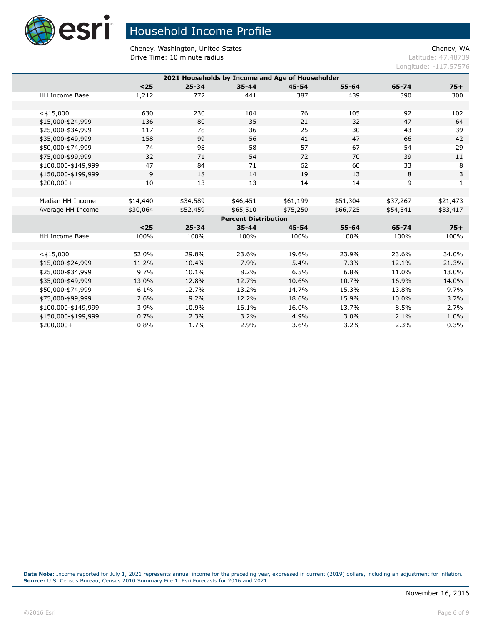

Cheney, Washington, United States Cheney, WA **Drive Time: 10 minute radius Latitude: 47.48739** 

Longitude: -117.57576

|                                                                   | 2021 Households by Income and Age of Householder |          |           |                             |           |           |          |          |  |
|-------------------------------------------------------------------|--------------------------------------------------|----------|-----------|-----------------------------|-----------|-----------|----------|----------|--|
| $25$<br>$25 - 34$<br>$55 - 64$<br>$35 - 44$<br>$45 - 54$<br>65-74 |                                                  |          |           |                             |           |           |          | $75+$    |  |
|                                                                   | <b>HH Income Base</b>                            | 1,212    | 772       | 441                         | 387       | 439       | 390      | 300      |  |
|                                                                   |                                                  |          |           |                             |           |           |          |          |  |
|                                                                   |                                                  | 630      | 230       | 104                         | 76        |           | 92       | 102      |  |
|                                                                   | $<$ \$15,000<br>\$15,000-\$24,999                | 136      | 80        | 35                          | 21        | 105<br>32 | 47       | 64       |  |
|                                                                   | \$25,000-\$34,999                                | 117      | 78        | 36                          | 25        | 30        | 43       | 39       |  |
|                                                                   |                                                  |          | 99        | 56                          | 41        | 47        | 66       | 42       |  |
|                                                                   | \$35,000-\$49,999                                | 158      |           |                             |           |           |          |          |  |
|                                                                   | \$50,000-\$74,999                                | 74       | 98        | 58                          | 57        | 67        | 54       | 29       |  |
|                                                                   | \$75,000-\$99,999                                | 32       | 71        | 54                          | 72        | 70        | 39       | 11       |  |
|                                                                   | \$100,000-\$149,999                              | 47       | 84        | 71                          | 62        | 60        | 33       | 8        |  |
|                                                                   | \$150,000-\$199,999                              | 9        | 18        | 14                          | 19        | 13        | 8        | 3        |  |
|                                                                   | $$200,000+$                                      | 10       | 13        | 13                          | 14        | 14        | 9        | 1        |  |
|                                                                   |                                                  |          |           |                             |           |           |          |          |  |
|                                                                   | Median HH Income                                 | \$14,440 | \$34,589  | \$46,451                    | \$61,199  | \$51,304  | \$37,267 | \$21,473 |  |
|                                                                   | Average HH Income                                | \$30,064 | \$52,459  | \$65,510                    | \$75,250  | \$66,725  | \$54,541 | \$33,417 |  |
|                                                                   |                                                  |          |           | <b>Percent Distribution</b> |           |           |          |          |  |
|                                                                   |                                                  | $<$ 25   | $25 - 34$ | $35 - 44$                   | $45 - 54$ | $55 - 64$ | 65-74    | $75+$    |  |
|                                                                   | <b>HH Income Base</b>                            | 100%     | 100%      | 100%                        | 100%      | 100%      | 100%     | 100%     |  |
|                                                                   |                                                  |          |           |                             |           |           |          |          |  |
|                                                                   | $<$ \$15,000                                     | 52.0%    | 29.8%     | 23.6%                       | 19.6%     | 23.9%     | 23.6%    | 34.0%    |  |
|                                                                   | \$15,000-\$24,999                                | 11.2%    | 10.4%     | 7.9%                        | 5.4%      | 7.3%      | 12.1%    | 21.3%    |  |
|                                                                   | \$25,000-\$34,999                                | 9.7%     | 10.1%     | 8.2%                        | 6.5%      | 6.8%      | 11.0%    | 13.0%    |  |
|                                                                   | \$35,000-\$49,999                                | 13.0%    | 12.8%     | 12.7%                       | 10.6%     | 10.7%     | 16.9%    | 14.0%    |  |
|                                                                   | \$50,000-\$74,999                                | 6.1%     | 12.7%     | 13.2%                       | 14.7%     | 15.3%     | 13.8%    | 9.7%     |  |
|                                                                   | \$75,000-\$99,999                                | 2.6%     | 9.2%      | 12.2%                       | 18.6%     | 15.9%     | 10.0%    | 3.7%     |  |
|                                                                   | \$100,000-\$149,999                              | 3.9%     | 10.9%     | 16.1%                       | 16.0%     | 13.7%     | 8.5%     | 2.7%     |  |
|                                                                   | \$150,000-\$199,999                              | 0.7%     | 2.3%      | 3.2%                        | 4.9%      | 3.0%      | 2.1%     | 1.0%     |  |
|                                                                   | \$200,000+                                       | 0.8%     | 1.7%      | 2.9%                        | 3.6%      | 3.2%      | 2.3%     | 0.3%     |  |
|                                                                   |                                                  |          |           |                             |           |           |          |          |  |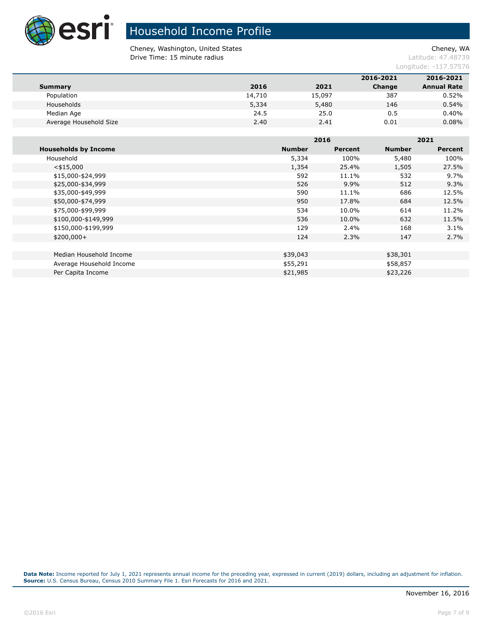

# Household Income Profile

Cheney, Washington, United States Cheney, WA **Drive Time: 15 minute radius Latitude: 47.48739** 

Longitude: -117.57576

|        |        | 2016-2021 | 2016-2021          |
|--------|--------|-----------|--------------------|
| 2016   | 2021   | Change    | <b>Annual Rate</b> |
| 14,710 | 15,097 | 387       | 0.52%              |
| 5,334  | 5,480  | 146       | 0.54%              |
| 24.5   | 25.0   | 0.5       | 0.40%              |
| 2.40   | 2.41   | 0.01      | 0.08%              |
|        |        |           |                    |

|                             |               | 2016    |               | 2021    |
|-----------------------------|---------------|---------|---------------|---------|
| <b>Households by Income</b> | <b>Number</b> | Percent | <b>Number</b> | Percent |
| Household                   | 5,334         | 100%    | 5,480         | 100%    |
| $<$ \$15,000                | 1,354         | 25.4%   | 1,505         | 27.5%   |
| \$15,000-\$24,999           | 592           | 11.1%   | 532           | $9.7\%$ |
| \$25,000-\$34,999           | 526           | 9.9%    | 512           | 9.3%    |
| \$35,000-\$49,999           | 590           | 11.1%   | 686           | 12.5%   |
| \$50,000-\$74,999           | 950           | 17.8%   | 684           | 12.5%   |
| \$75,000-\$99,999           | 534           | 10.0%   | 614           | 11.2%   |
| \$100,000-\$149,999         | 536           | 10.0%   | 632           | 11.5%   |
| \$150,000-\$199,999         | 129           | 2.4%    | 168           | 3.1%    |
| $$200,000+$                 | 124           | 2.3%    | 147           | 2.7%    |
|                             |               |         |               |         |
| Median Household Income     | \$39,043      |         | \$38,301      |         |
| Average Household Income    | \$55,291      |         | \$58,857      |         |
| Per Capita Income           | \$21,985      |         | \$23,226      |         |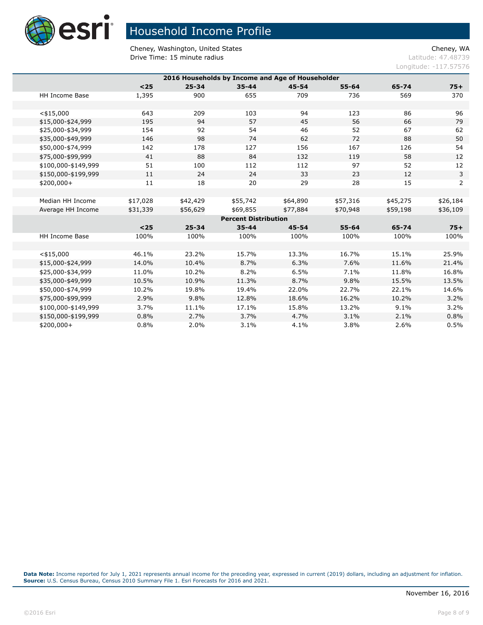

Cheney, Washington, United States Cheney, WA **Drive Time: 15 minute radius Latitude: 47.48739** 

Longitude: -117.57576

| 2016 Households by Income and Age of Householder |          |           |                             |           |           |          |                |  |
|--------------------------------------------------|----------|-----------|-----------------------------|-----------|-----------|----------|----------------|--|
|                                                  | $25$     | $25 - 34$ | $35 - 44$                   | $45 - 54$ | $55 - 64$ | 65-74    | $75+$          |  |
|                                                  |          |           |                             |           |           |          |                |  |
| <b>HH Income Base</b>                            | 1,395    | 900       | 655                         | 709       | 736       | 569      | 370            |  |
|                                                  |          |           |                             |           |           |          |                |  |
| $<$ \$15,000                                     | 643      | 209       | 103                         | 94        | 123       | 86       | 96             |  |
| \$15,000-\$24,999                                | 195      | 94        | 57                          | 45        | 56        | 66       | 79             |  |
| \$25,000-\$34,999                                | 154      | 92        | 54                          | 46        | 52        | 67       | 62             |  |
| \$35,000-\$49,999                                | 146      | 98        | 74                          | 62        | 72        | 88       | 50             |  |
| \$50,000-\$74,999                                | 142      | 178       | 127                         | 156       | 167       | 126      | 54             |  |
| \$75,000-\$99,999                                | 41       | 88        | 84                          | 132       | 119       | 58       | 12             |  |
| \$100,000-\$149,999                              | 51       | 100       | 112                         | 112       | 97        | 52       | 12             |  |
| \$150,000-\$199,999                              | 11       | 24        | 24                          | 33        | 23        | 12       | 3              |  |
| $$200,000+$                                      | 11       | 18        | 20                          | 29        | 28        | 15       | $\overline{2}$ |  |
|                                                  |          |           |                             |           |           |          |                |  |
| Median HH Income                                 | \$17,028 | \$42,429  | \$55,742                    | \$64,890  | \$57,316  | \$45,275 | \$26,184       |  |
| Average HH Income                                | \$31,339 | \$56,629  | \$69,855                    | \$77,884  | \$70,948  | \$59,198 | \$36,109       |  |
|                                                  |          |           | <b>Percent Distribution</b> |           |           |          |                |  |
|                                                  | $<$ 25   | $25 - 34$ | $35 - 44$                   | $45 - 54$ | $55 - 64$ | 65-74    | $75+$          |  |
| <b>HH Income Base</b>                            | 100%     | 100%      | 100%                        | 100%      | 100%      | 100%     | 100%           |  |
|                                                  |          |           |                             |           |           |          |                |  |
| $<$ \$15,000                                     | 46.1%    | 23.2%     | 15.7%                       | 13.3%     | 16.7%     | 15.1%    | 25.9%          |  |
| \$15,000-\$24,999                                | 14.0%    | 10.4%     | 8.7%                        | 6.3%      | 7.6%      | 11.6%    | 21.4%          |  |
| \$25,000-\$34,999                                | 11.0%    | 10.2%     | 8.2%                        | 6.5%      | 7.1%      | 11.8%    | 16.8%          |  |
| \$35,000-\$49,999                                | 10.5%    | 10.9%     | 11.3%                       | 8.7%      | 9.8%      | 15.5%    | 13.5%          |  |
| \$50,000-\$74,999                                | 10.2%    | 19.8%     | 19.4%                       | 22.0%     | 22.7%     | 22.1%    | 14.6%          |  |
| \$75,000-\$99,999                                | 2.9%     | 9.8%      | 12.8%                       | 18.6%     | 16.2%     | 10.2%    | 3.2%           |  |
| \$100,000-\$149,999                              | 3.7%     | 11.1%     | 17.1%                       | 15.8%     | 13.2%     | 9.1%     | 3.2%           |  |
| \$150,000-\$199,999                              | 0.8%     | 2.7%      | 3.7%                        | 4.7%      | 3.1%      | 2.1%     | 0.8%           |  |
| \$200,000+                                       | 0.8%     | 2.0%      | 3.1%                        | 4.1%      | 3.8%      | 2.6%     | 0.5%           |  |
|                                                  |          |           |                             |           |           |          |                |  |